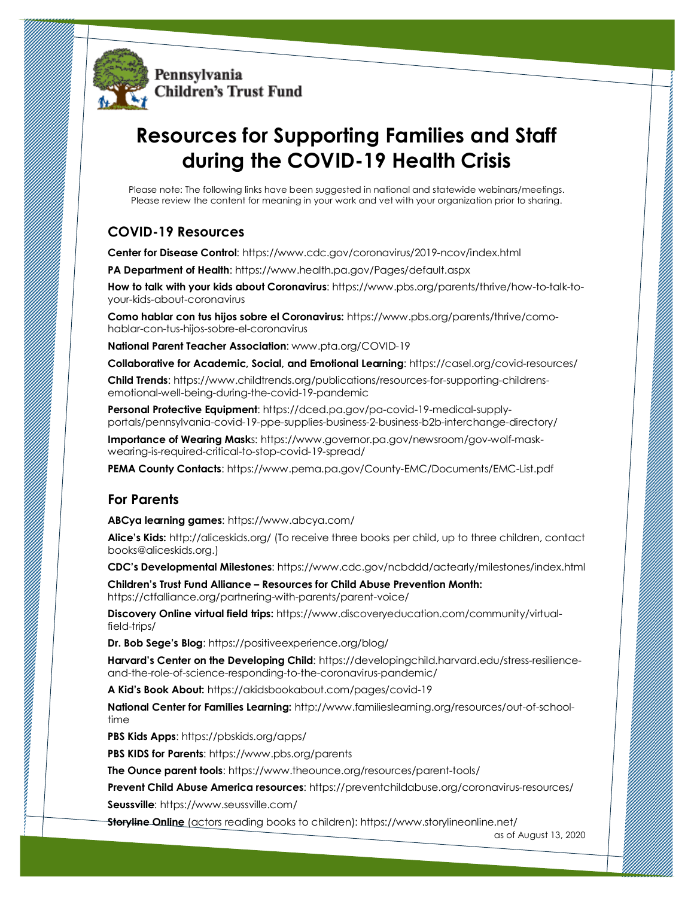

# **Resources for Supporting Families and Staff during the COVID-19 Health Crisis**

Please note: The following links have been suggested in national and statewide webinars/meetings. Please review the content for meaning in your work and vet with your organization prior to sharing.

## **COVID-19 Resources**

**Center for Disease Control**: [https://www.cdc.gov/coronavirus/2019-ncov/index.html](https://www.cdc.gov/coronavirus/2019-ncov/index.html/)

**PA Department of Health:** https://www.health.pa.gov/Pages/default.aspx

**How to talk with your kids about Coronavirus**: [https://www.pbs.org/parents/thrive/how-to-talk-to](https://www.pbs.org/parents/thrive/how-to-talk-to-your-kids-about-coronavirus)[your-kids-about-coronavirus](https://www.pbs.org/parents/thrive/how-to-talk-to-your-kids-about-coronavirus)

**Como hablar con tus hijos sobre el Coronavirus:** [https://www.pbs.org/parents/thrive/como](https://www.pbs.org/parents/thrive/como-hablar-con-tus-hijos-sobre-el-coronavirus)[hablar-con-tus-hijos-sobre-el-coronavirus](https://www.pbs.org/parents/thrive/como-hablar-con-tus-hijos-sobre-el-coronavirus)

**National Parent Teacher Association**[: www.pta.org/COVID-19](http://www.pta.org/COVID-19)

**Collaborative for Academic, Social, and Emotional Learning**:<https://casel.org/covid-resources/>

**Child Trends**: [https://www.childtrends.org/publications/resources-for-supporting-childrens](https://www.childtrends.org/publications/resources-for-supporting-childrens-emotional-well-being-during-the-covid-19-pandemic)[emotional-well-being-during-the-covid-19-pandemic](https://www.childtrends.org/publications/resources-for-supporting-childrens-emotional-well-being-during-the-covid-19-pandemic)

**Personal Protective Equipment**: [https://dced.pa.gov/pa-covid-19-medical-supply](https://dced.pa.gov/pa-covid-19-medical-supply-portals/pennsylvania-covid-19-ppe-supplies-business-2-business-b2b-interchange-directory/)[portals/pennsylvania-covid-19-ppe-supplies-business-2-business-b2b-interchange-directory/](https://dced.pa.gov/pa-covid-19-medical-supply-portals/pennsylvania-covid-19-ppe-supplies-business-2-business-b2b-interchange-directory/)

**Importance of Wearing Mask**s: [https://www.governor.pa.gov/newsroom/gov-wolf-mask](https://www.governor.pa.gov/newsroom/gov-wolf-mask-wearing-is-required-critical-to-stop-covid-19-spread/)[wearing-is-required-critical-to-stop-covid-19-spread/](https://www.governor.pa.gov/newsroom/gov-wolf-mask-wearing-is-required-critical-to-stop-covid-19-spread/)

**PEMA County Contacts**:<https://www.pema.pa.gov/County-EMC/Documents/EMC-List.pdf>

#### **For Parents**

**ABCya learning games**:<https://www.abcya.com/>

**Alice's Kids:** <http://aliceskids.org/> (To receive three books per child, up to three children, contact books@aliceskids.org.)

**CDC's Developmental Milestones**: https://www.cdc.gov/ncbddd/actearly/milestones/index.html

**Children's Trust Fund Alliance – Resources for Child Abuse Prevention Month:**  https://ctfalliance.org/partnering-with-parents/parent-voice/

**Discovery Online virtual field trips:** [https://www.discoveryeducation.com/community/virtual](https://www.discoveryeducation.com/community/virtual-field-trips/)[field-trips/](https://www.discoveryeducation.com/community/virtual-field-trips/)

**Dr. Bob Sege's Blog**:<https://positiveexperience.org/blog/>

**Harvard's Center on the Developing Child**: https://developingchild.harvard.edu/stress-resilienceand-the-role-of-science-responding-to-the-coronavirus-pandemic/

**A Kid's Book About:** https://akidsbookabout.com/pages/covid-19

**National Center for Families Learning:** [http://www.familieslearning.org/resources/out-of-school](http://www.familieslearning.org/resources/out-of-school-time)[time](http://www.familieslearning.org/resources/out-of-school-time)

**PBS Kids Apps**:<https://pbskids.org/apps/>

**PBS KIDS for Parents**[: https://www.pbs.org/parents](https://www.pbs.org/parents)

**The Ounce parent tools**[: https://www.theounce.org/resources/parent-tools/](https://www.theounce.org/resources/parent-tools/)

**Prevent Child Abuse America resources**:<https://preventchildabuse.org/coronavirus-resources/> **Seussville**:<https://www.seussville.com/>

**Storyline Online** (actors reading books to children):<https://www.storylineonline.net/>

as of August 13, 2020